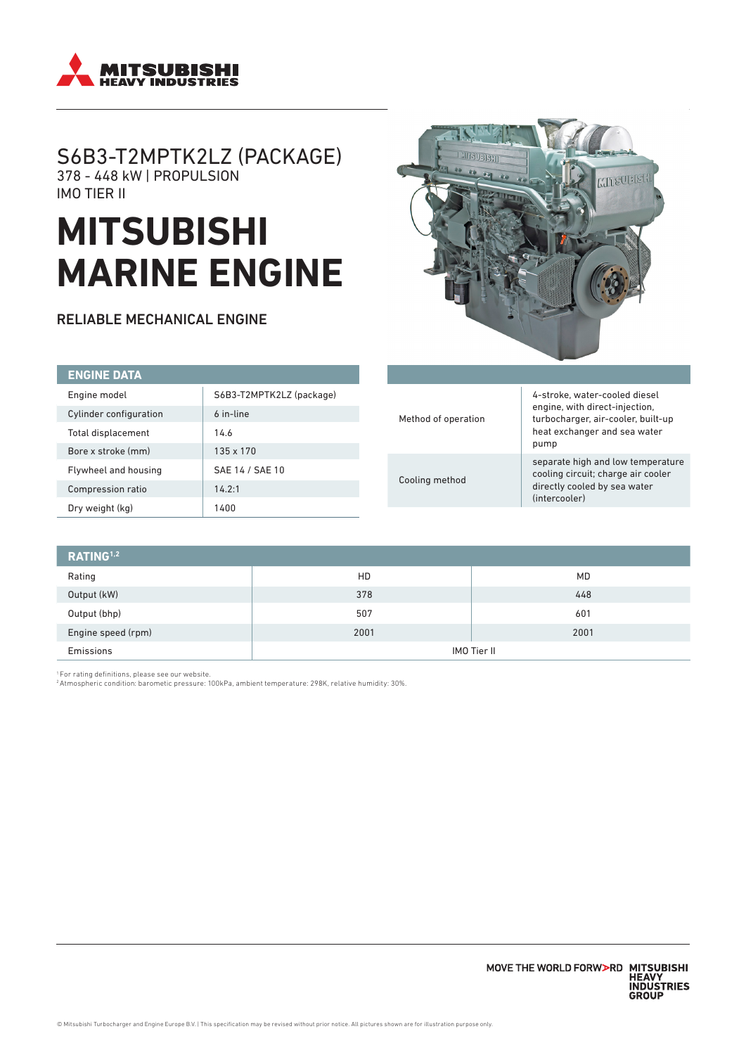

## S6B3-T2MPTK2LZ (PACKAGE) 378 - 448 kW | PROPULSION IMO TIER II

# **MITSUBISHI MARINE ENGINE**

RELIABLE MECHANICAL ENGINE



| <b>ENGINE DATA</b>     |                          |
|------------------------|--------------------------|
| Engine model           | S6B3-T2MPTK2LZ (package) |
| Cylinder configuration | 6 in-line                |
| Total displacement     | 14.6                     |
| Bore x stroke (mm)     | $135 \times 170$         |
| Flywheel and housing   | SAE 14 / SAE 10          |
| Compression ratio      | 14.2:1                   |
| Dry weight (kg)        | 1400                     |

| Method of operation | 4-stroke, water-cooled diesel<br>engine, with direct-injection,<br>turbocharger, air-cooler, built-up<br>heat exchanger and sea water<br>pump |
|---------------------|-----------------------------------------------------------------------------------------------------------------------------------------------|
| Cooling method      | separate high and low temperature<br>cooling circuit; charge air cooler<br>directly cooled by sea water<br>(intercooler)                      |

| RATING <sup>1,2</sup> |             |      |
|-----------------------|-------------|------|
| Rating                | HD          | MD   |
| Output (kW)           | 378         | 448  |
| Output (bhp)          | 507         | 601  |
| Engine speed (rpm)    | 2001        | 2001 |
| Emissions             | IMO Tier II |      |

1 For rating definitions, please see our website. 2 Atmospheric condition: barometic pressure: 100kPa, ambient temperature: 298K, relative humidity: 30%.